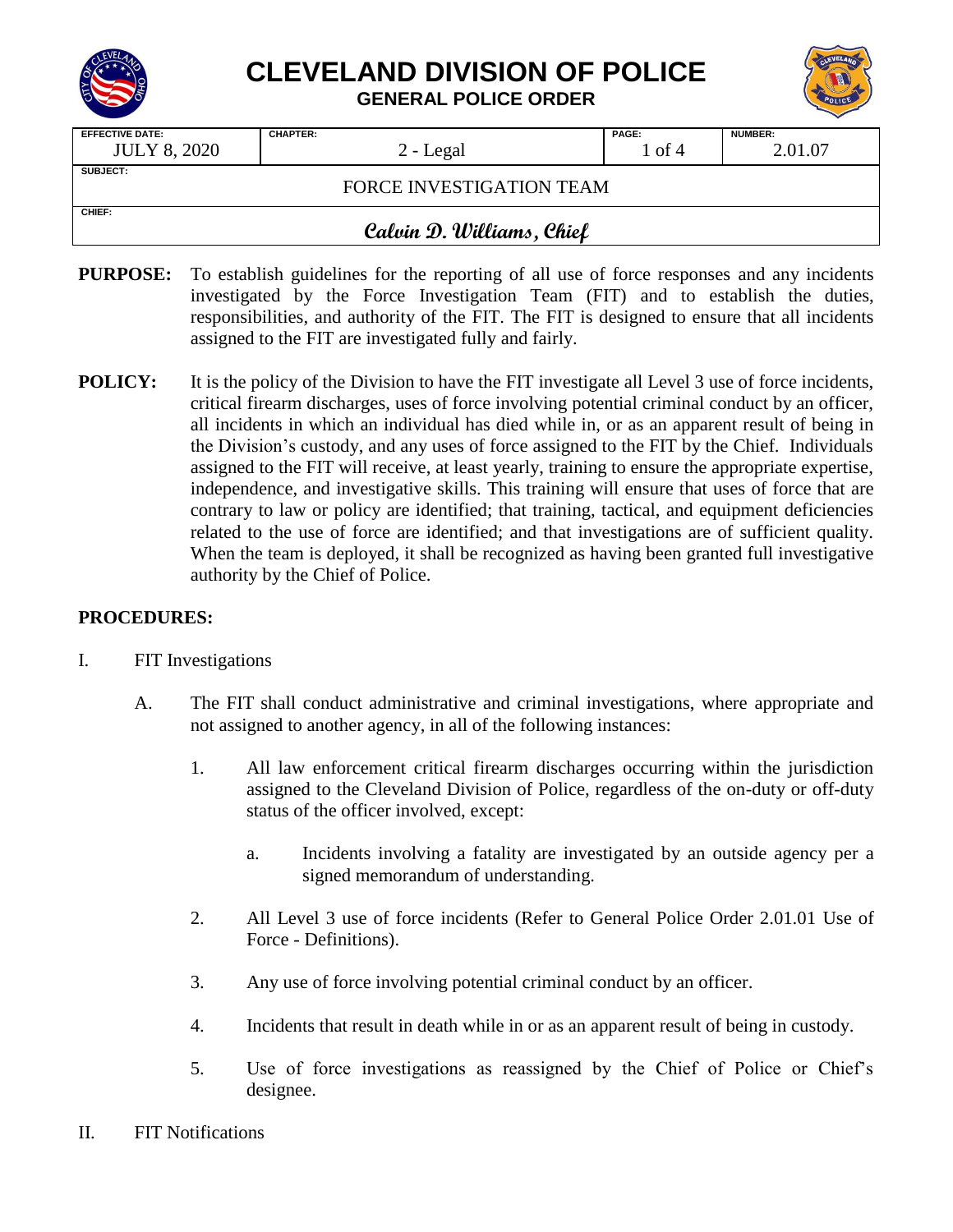

## **CLEVELAND DIVISION OF POLICE**

**GENERAL POLICE ORDER**

| <b>EFFECTIVE DATE:</b>    | <b>CHAPTER:</b> | PAGE:  | <b>NUMBER:</b> |  |  |  |
|---------------------------|-----------------|--------|----------------|--|--|--|
| <b>JULY 8, 2020</b>       | 2 - Legal       | 1 of 4 | 2.01.07        |  |  |  |
| <b>SUBJECT:</b>           |                 |        |                |  |  |  |
| FORCE INVESTIGATION TEAM  |                 |        |                |  |  |  |
|                           |                 |        |                |  |  |  |
| CHIEF:                    |                 |        |                |  |  |  |
| Calvin D. Williams, Chief |                 |        |                |  |  |  |

- **PURPOSE:** To establish guidelines for the reporting of all use of force responses and any incidents investigated by the Force Investigation Team (FIT) and to establish the duties, responsibilities, and authority of the FIT. The FIT is designed to ensure that all incidents assigned to the FIT are investigated fully and fairly.
- **POLICY:** It is the policy of the Division to have the FIT investigate all Level 3 use of force incidents, critical firearm discharges, uses of force involving potential criminal conduct by an officer, all incidents in which an individual has died while in, or as an apparent result of being in the Division's custody, and any uses of force assigned to the FIT by the Chief. Individuals assigned to the FIT will receive, at least yearly, training to ensure the appropriate expertise, independence, and investigative skills. This training will ensure that uses of force that are contrary to law or policy are identified; that training, tactical, and equipment deficiencies related to the use of force are identified; and that investigations are of sufficient quality. When the team is deployed, it shall be recognized as having been granted full investigative authority by the Chief of Police.

## **PROCEDURES:**

- I. FIT Investigations
	- A. The FIT shall conduct administrative and criminal investigations, where appropriate and not assigned to another agency, in all of the following instances:
		- 1. All law enforcement critical firearm discharges occurring within the jurisdiction assigned to the Cleveland Division of Police, regardless of the on-duty or off-duty status of the officer involved, except:
			- a. Incidents involving a fatality are investigated by an outside agency per a signed memorandum of understanding.
		- 2. All Level 3 use of force incidents (Refer to General Police Order 2.01.01 Use of Force - Definitions).
		- 3. Any use of force involving potential criminal conduct by an officer.
		- 4. Incidents that result in death while in or as an apparent result of being in custody.
		- 5. Use of force investigations as reassigned by the Chief of Police or Chief's designee.
- II. FIT Notifications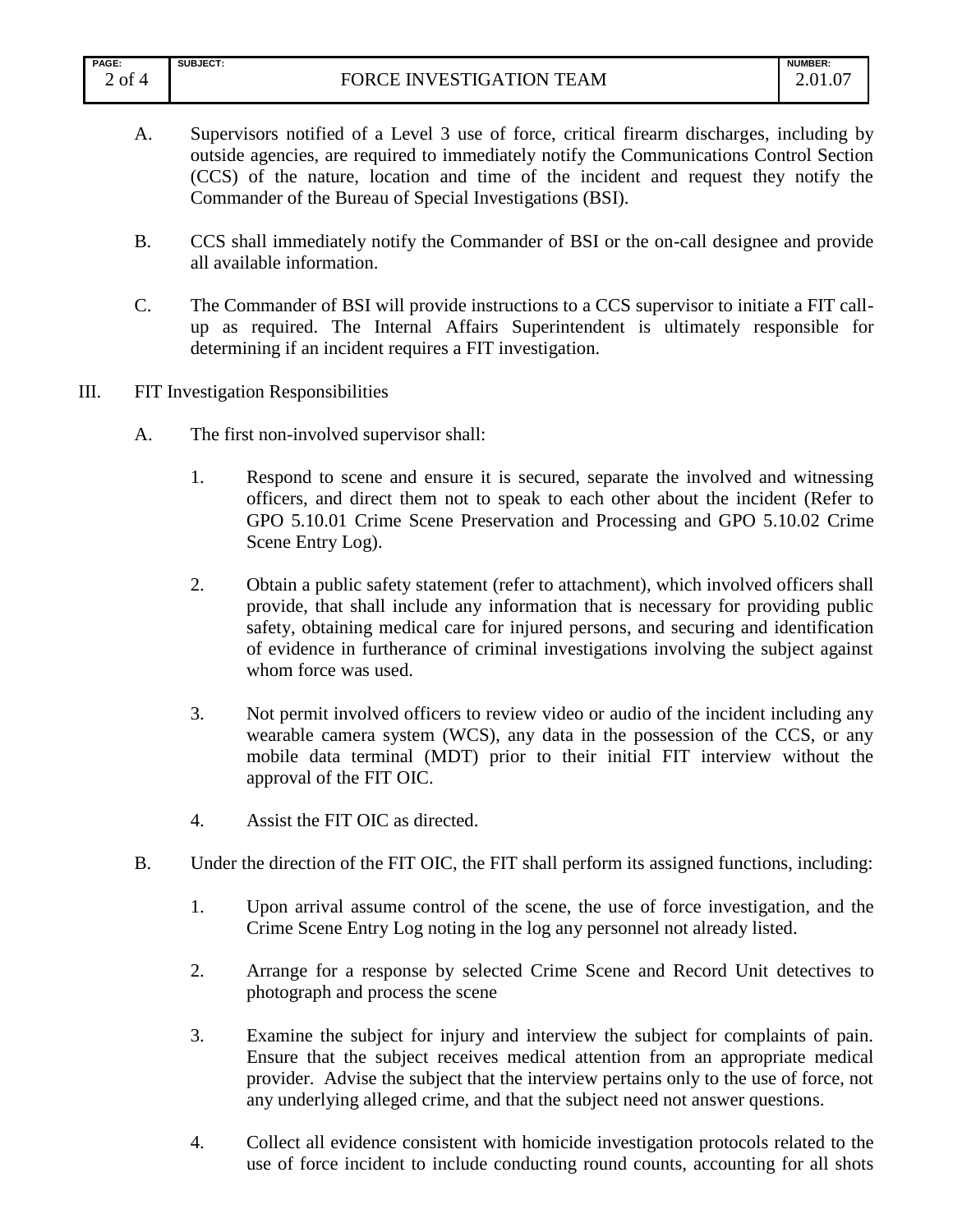| <b>PAGE:</b>         | <b>SUBJECT:</b>                                                  | <b>NUMBER:</b>                  |
|----------------------|------------------------------------------------------------------|---------------------------------|
| $\mathbf{r}$<br>of 4 | <b>ATION TEAM</b><br><b>INVESTIGA</b><br>וענ<br>۰ь<br>∼<br>1 J J | $\Omega$ <sup>1</sup><br>2.VI.V |

- A. Supervisors notified of a Level 3 use of force, critical firearm discharges, including by outside agencies, are required to immediately notify the Communications Control Section (CCS) of the nature, location and time of the incident and request they notify the Commander of the Bureau of Special Investigations (BSI).
- B. CCS shall immediately notify the Commander of BSI or the on-call designee and provide all available information.
- C. The Commander of BSI will provide instructions to a CCS supervisor to initiate a FIT callup as required. The Internal Affairs Superintendent is ultimately responsible for determining if an incident requires a FIT investigation.
- III. FIT Investigation Responsibilities
	- A. The first non-involved supervisor shall:
		- 1. Respond to scene and ensure it is secured, separate the involved and witnessing officers, and direct them not to speak to each other about the incident (Refer to GPO 5.10.01 Crime Scene Preservation and Processing and GPO 5.10.02 Crime Scene Entry Log).
		- 2. Obtain a public safety statement (refer to attachment), which involved officers shall provide, that shall include any information that is necessary for providing public safety, obtaining medical care for injured persons, and securing and identification of evidence in furtherance of criminal investigations involving the subject against whom force was used.
		- 3. Not permit involved officers to review video or audio of the incident including any wearable camera system (WCS), any data in the possession of the CCS, or any mobile data terminal (MDT) prior to their initial FIT interview without the approval of the FIT OIC.
		- 4. Assist the FIT OIC as directed.
	- B. Under the direction of the FIT OIC, the FIT shall perform its assigned functions, including:
		- 1. Upon arrival assume control of the scene, the use of force investigation, and the Crime Scene Entry Log noting in the log any personnel not already listed.
		- 2. Arrange for a response by selected Crime Scene and Record Unit detectives to photograph and process the scene
		- 3. Examine the subject for injury and interview the subject for complaints of pain. Ensure that the subject receives medical attention from an appropriate medical provider. Advise the subject that the interview pertains only to the use of force, not any underlying alleged crime, and that the subject need not answer questions.
		- 4. Collect all evidence consistent with homicide investigation protocols related to the use of force incident to include conducting round counts, accounting for all shots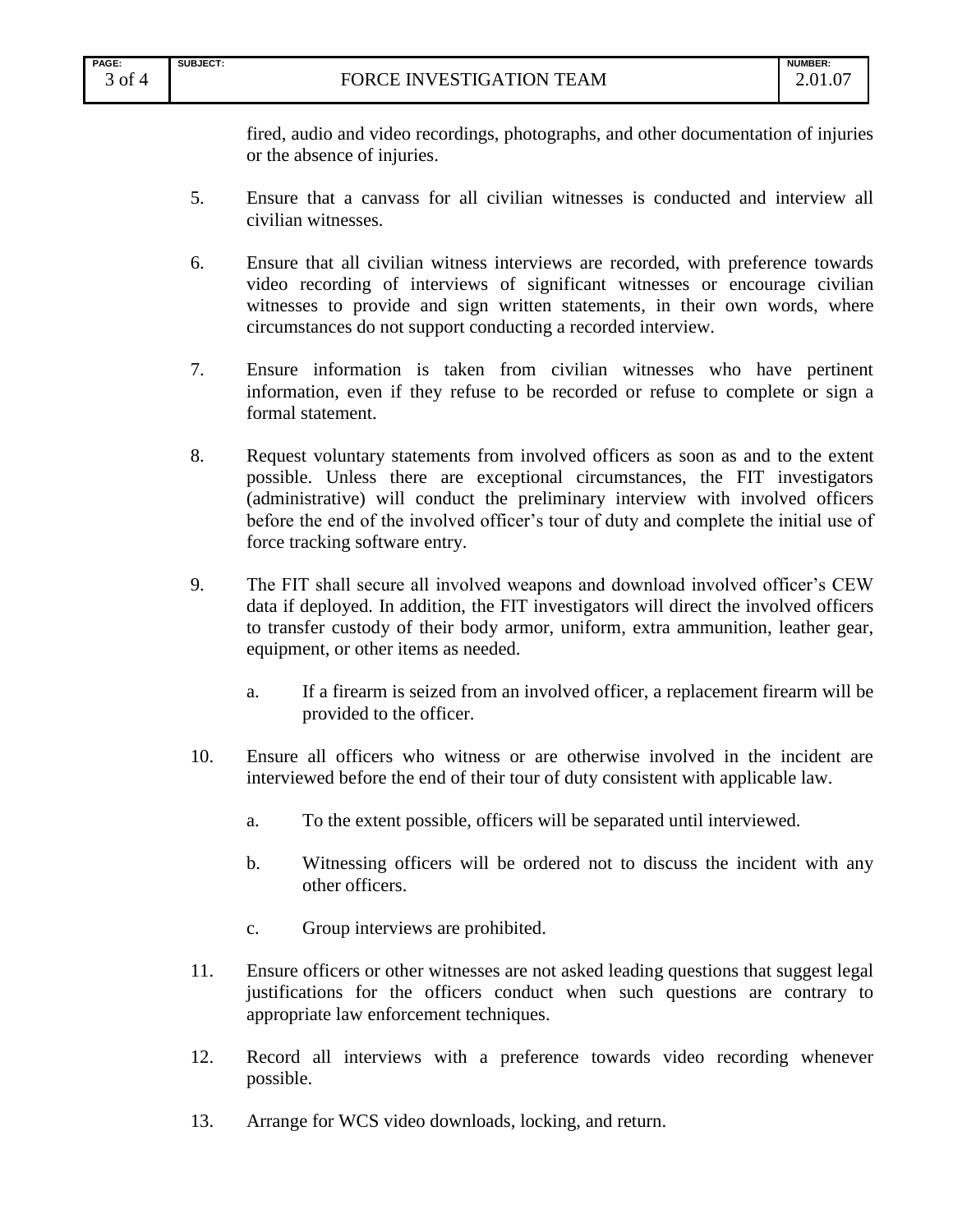fired, audio and video recordings, photographs, and other documentation of injuries or the absence of injuries.

- 5. Ensure that a canvass for all civilian witnesses is conducted and interview all civilian witnesses.
- 6. Ensure that all civilian witness interviews are recorded, with preference towards video recording of interviews of significant witnesses or encourage civilian witnesses to provide and sign written statements, in their own words, where circumstances do not support conducting a recorded interview.
- 7. Ensure information is taken from civilian witnesses who have pertinent information, even if they refuse to be recorded or refuse to complete or sign a formal statement.
- 8. Request voluntary statements from involved officers as soon as and to the extent possible. Unless there are exceptional circumstances, the FIT investigators (administrative) will conduct the preliminary interview with involved officers before the end of the involved officer's tour of duty and complete the initial use of force tracking software entry.
- 9. The FIT shall secure all involved weapons and download involved officer's CEW data if deployed. In addition, the FIT investigators will direct the involved officers to transfer custody of their body armor, uniform, extra ammunition, leather gear, equipment, or other items as needed.
	- a. If a firearm is seized from an involved officer, a replacement firearm will be provided to the officer.
- 10. Ensure all officers who witness or are otherwise involved in the incident are interviewed before the end of their tour of duty consistent with applicable law.
	- a. To the extent possible, officers will be separated until interviewed.
	- b. Witnessing officers will be ordered not to discuss the incident with any other officers.
	- c. Group interviews are prohibited.
- 11. Ensure officers or other witnesses are not asked leading questions that suggest legal justifications for the officers conduct when such questions are contrary to appropriate law enforcement techniques.
- 12. Record all interviews with a preference towards video recording whenever possible.
- 13. Arrange for WCS video downloads, locking, and return.